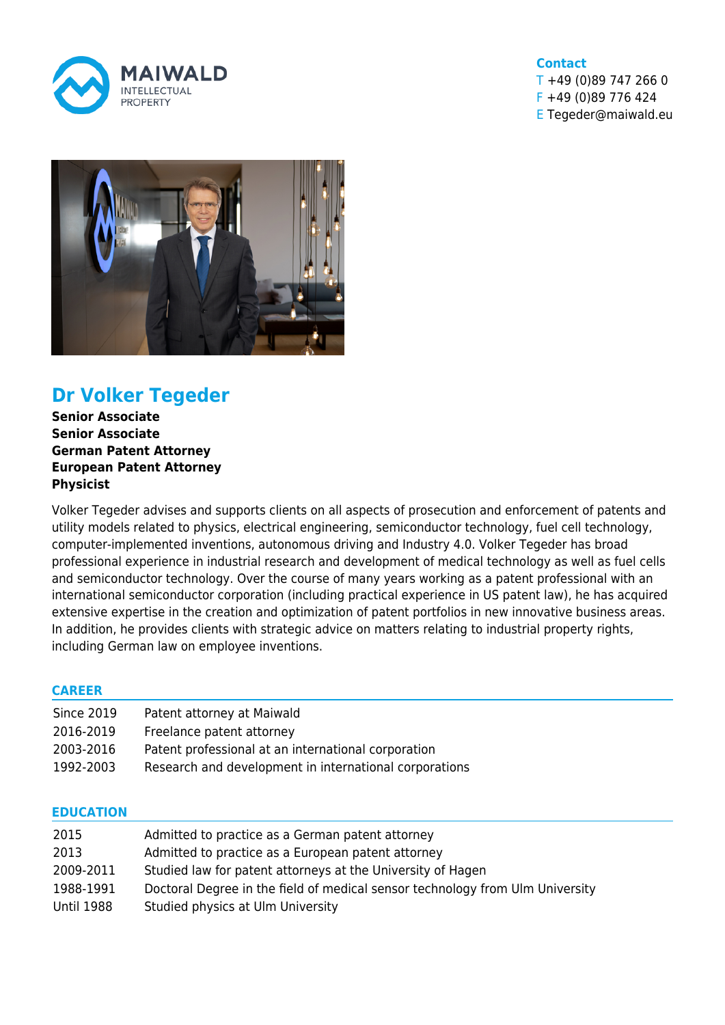

### **Contact**  $T + 49 (0)89 747 266 0$ F +49 (0)89 776 424 E Tegeder@maiwald.eu



# **Dr Volker Tegeder**

**Senior Associate Senior Associate German Patent Attorney European Patent Attorney Physicist**

Volker Tegeder advises and supports clients on all aspects of prosecution and enforcement of patents and utility models related to physics, electrical engineering, semiconductor technology, fuel cell technology, computer-implemented inventions, autonomous driving and Industry 4.0. Volker Tegeder has broad professional experience in industrial research and development of medical technology as well as fuel cells and semiconductor technology. Over the course of many years working as a patent professional with an international semiconductor corporation (including practical experience in US patent law), he has acquired extensive expertise in the creation and optimization of patent portfolios in new innovative business areas. In addition, he provides clients with strategic advice on matters relating to industrial property rights, including German law on employee inventions.

## **CAREER**

| <b>Since 2019</b> | Patent attorney at Maiwald                             |
|-------------------|--------------------------------------------------------|
| 2016-2019         | Freelance patent attorney                              |
| 2003-2016         | Patent professional at an international corporation    |
| 1992-2003         | Research and development in international corporations |

## **EDUCATION**

| 2015       | Admitted to practice as a German patent attorney                              |
|------------|-------------------------------------------------------------------------------|
| 2013       | Admitted to practice as a European patent attorney                            |
| 2009-2011  | Studied law for patent attorneys at the University of Hagen                   |
| 1988-1991  | Doctoral Degree in the field of medical sensor technology from Ulm University |
| Until 1988 | Studied physics at Ulm University                                             |
|            |                                                                               |